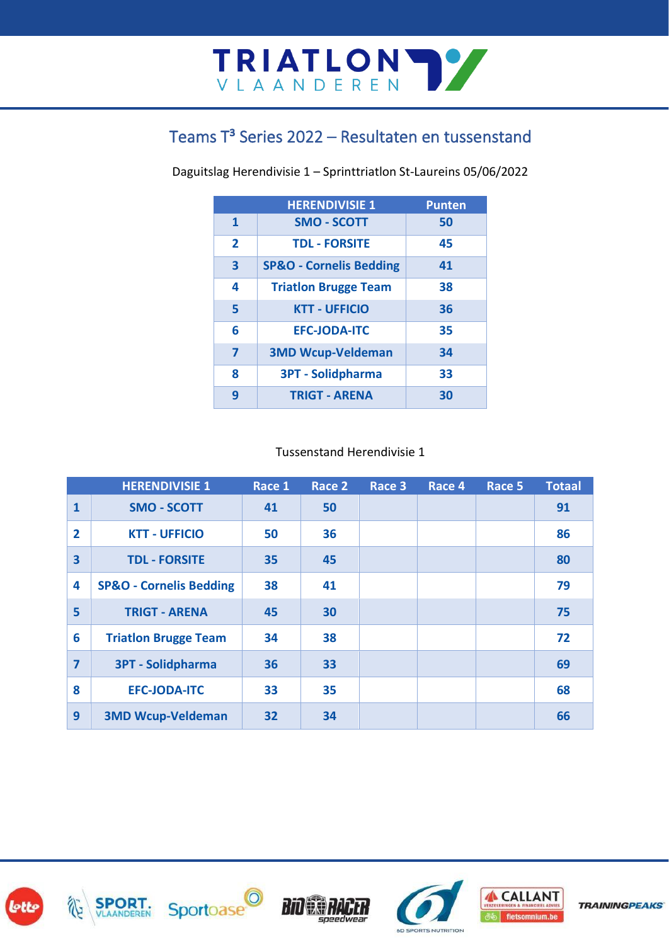### Teams T<sup>3</sup> Series 2022 – Resultaten en tussenstand

Daguitslag Herendivisie 1 – Sprinttriatlon St-Laureins 05/06/2022

|                         | <b>HERENDIVISIE 1</b>              | <b>Punten</b> |
|-------------------------|------------------------------------|---------------|
| 1                       | <b>SMO - SCOTT</b>                 | 50            |
| $\overline{2}$          | <b>TDL - FORSITE</b>               | 45            |
| $\overline{\mathbf{3}}$ | <b>SP&amp;O - Cornelis Bedding</b> | 41            |
| 4                       | <b>Triation Brugge Team</b>        | 38            |
| 5                       | <b>KTT - UFFICIO</b>               | 36            |
| 6                       | <b>EFC-JODA-ITC</b>                | 35            |
| 7                       | <b>3MD Wcup-Veldeman</b>           | 34            |
| 8                       | <b>3PT - Solidpharma</b>           | 33            |
| 9                       | <b>TRIGT - ARENA</b>               | 30            |

#### Tussenstand Herendivisie 1

| <b>HERENDIVISIE 1</b>   |                                    | Race 1 | Race 2 | Race 3 | Race 4 | Race 5 | <b>Totaal</b> |
|-------------------------|------------------------------------|--------|--------|--------|--------|--------|---------------|
| $\mathbf{1}$            | <b>SMO - SCOTT</b>                 | 41     | 50     |        |        |        | 91            |
| $\overline{2}$          | <b>KTT - UFFICIO</b>               | 50     | 36     |        |        |        | 86            |
| $\overline{\mathbf{3}}$ | <b>TDL - FORSITE</b>               | 35     | 45     |        |        |        | 80            |
| 4                       | <b>SP&amp;O - Cornelis Bedding</b> | 38     | 41     |        |        |        | 79            |
| 5                       | <b>TRIGT - ARENA</b>               | 45     | 30     |        |        |        | 75            |
| 6                       | <b>Triatlon Brugge Team</b>        | 34     | 38     |        |        |        | 72            |
| $\overline{7}$          | <b>3PT - Solidpharma</b>           | 36     | 33     |        |        |        | 69            |
| 8                       | <b>EFC-JODA-ITC</b>                | 33     | 35     |        |        |        | 68            |
| 9                       | <b>3MD Wcup-Veldeman</b>           | 32     | 34     |        |        |        | 66            |









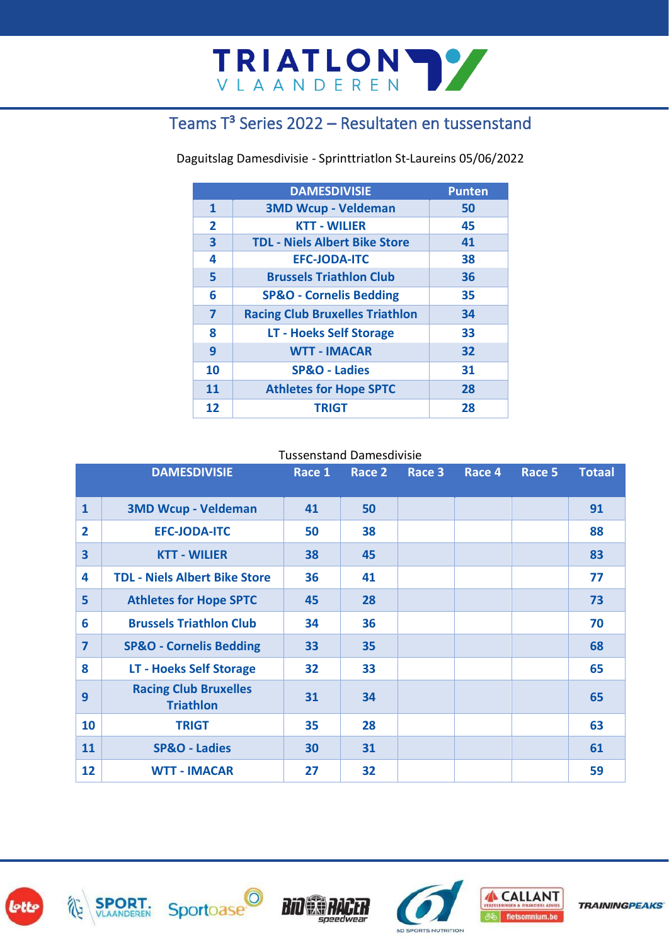## TRIATLON TY

#### Teams T<sup>3</sup> Series 2022 – Resultaten en tussenstand

Daguitslag Damesdivisie - Sprinttriatlon St-Laureins 05/06/2022

|                         | <b>DAMESDIVISIE</b>                    | <b>Punten</b> |
|-------------------------|----------------------------------------|---------------|
| 1                       | <b>3MD Wcup - Veldeman</b>             | 50            |
| $\overline{2}$          | <b>KTT - WILIER</b>                    | 45            |
| $\overline{\mathbf{3}}$ | <b>TDL - Niels Albert Bike Store</b>   | 41            |
| 4                       | <b>EFC-JODA-ITC</b>                    | 38            |
| 5                       | <b>Brussels Triathlon Club</b>         | 36            |
| 6                       | <b>SP&amp;O - Cornelis Bedding</b>     | 35            |
| 7                       | <b>Racing Club Bruxelles Triathlon</b> | 34            |
| 8                       | <b>LT - Hoeks Self Storage</b>         | 33            |
| 9                       | <b>WTT - IMACAR</b>                    | 32            |
| 10                      | <b>SP&amp;O - Ladies</b>               | 31            |
| 11                      | <b>Athletes for Hope SPTC</b>          | 28            |
| 12                      | <b>TRIGT</b>                           | 28            |

Tussenstand Damesdivisie

| <b>DAMESDIVISIE</b> |                                                  | Race 1 | Race 2 | Race 3 | Race 4 | Race 5 | <b>Totaal</b> |
|---------------------|--------------------------------------------------|--------|--------|--------|--------|--------|---------------|
| $\mathbf{1}$        | <b>3MD Wcup - Veldeman</b>                       | 41     | 50     |        |        |        | 91            |
| $\overline{2}$      | <b>EFC-JODA-ITC</b>                              | 50     | 38     |        |        |        | 88            |
| 3                   | <b>KTT - WILIER</b>                              | 38     | 45     |        |        |        | 83            |
| 4                   | <b>TDL - Niels Albert Bike Store</b>             | 36     | 41     |        |        |        | 77            |
| 5                   | <b>Athletes for Hope SPTC</b>                    | 45     | 28     |        |        |        | 73            |
| 6                   | <b>Brussels Triathlon Club</b>                   | 34     | 36     |        |        |        | 70            |
| $\overline{ }$      | <b>SP&amp;O - Cornelis Bedding</b>               | 33     | 35     |        |        |        | 68            |
| 8                   | <b>LT - Hoeks Self Storage</b>                   | 32     | 33     |        |        |        | 65            |
| 9                   | <b>Racing Club Bruxelles</b><br><b>Triathlon</b> | 31     | 34     |        |        |        | 65            |
| 10                  | <b>TRIGT</b>                                     | 35     | 28     |        |        |        | 63            |
| 11                  | <b>SP&amp;O - Ladies</b>                         | 30     | 31     |        |        |        | 61            |
| 12                  | <b>WTT - IMACAR</b>                              | 27     | 32     |        |        |        | 59            |









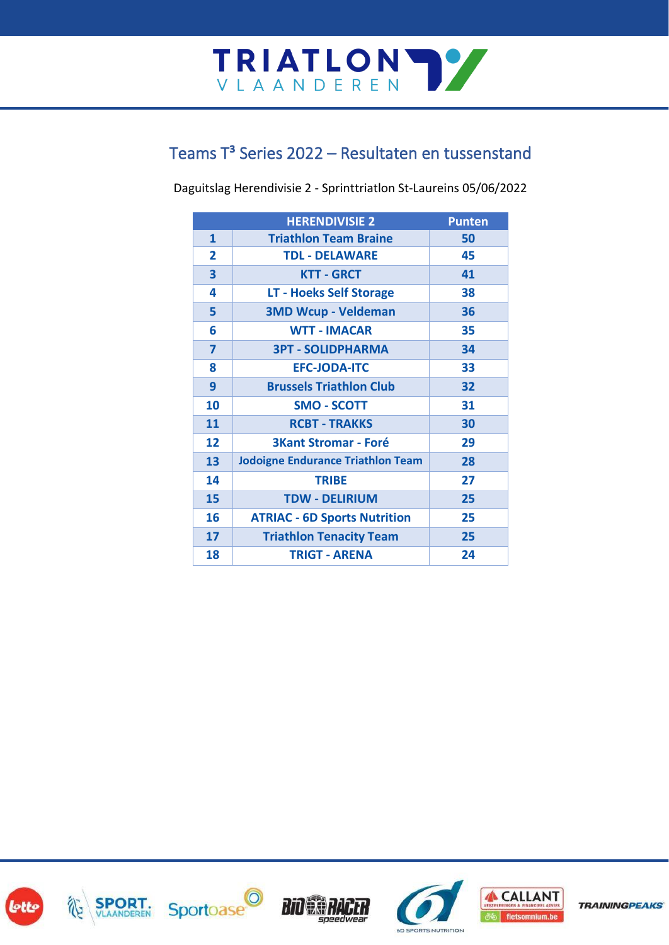# TRIATLON TY

#### Teams T<sup>3</sup> Series 2022 – Resultaten en tussenstand

Daguitslag Herendivisie 2 - Sprinttriatlon St-Laureins 05/06/2022

|              | <b>HERENDIVISIE 2</b>                    | <b>Punten</b> |
|--------------|------------------------------------------|---------------|
| 1            | <b>Triathlon Team Braine</b>             | 50            |
| $\mathbf{2}$ | <b>TDL - DELAWARE</b>                    | 45            |
| 3            | <b>KTT - GRCT</b>                        | 41            |
| 4            | <b>LT - Hoeks Self Storage</b>           | 38            |
| 5            | <b>3MD Wcup - Veldeman</b>               | 36            |
| 6            | <b>WTT - IMACAR</b>                      | 35            |
| 7            | <b>3PT - SOLIDPHARMA</b>                 | 34            |
| 8            | <b>EFC-JODA-ITC</b>                      | 33            |
| 9            | <b>Brussels Triathlon Club</b>           | 32            |
| 10           | <b>SMO - SCOTT</b>                       | 31            |
| 11           | <b>RCBT - TRAKKS</b>                     | 30            |
| 12           | <b>3Kant Stromar - Foré</b>              | 29            |
| 13           | <b>Jodoigne Endurance Triathlon Team</b> | 28            |
| 14           | <b>TRIBE</b>                             | 27            |
| 15           | <b>TDW - DELIRIUM</b>                    | 25            |
| 16           | <b>ATRIAC - 6D Sports Nutrition</b>      | 25            |
| 17           | <b>Triathlon Tenacity Team</b>           | 25            |
| 18           | <b>TRIGT - ARENA</b>                     | 24            |